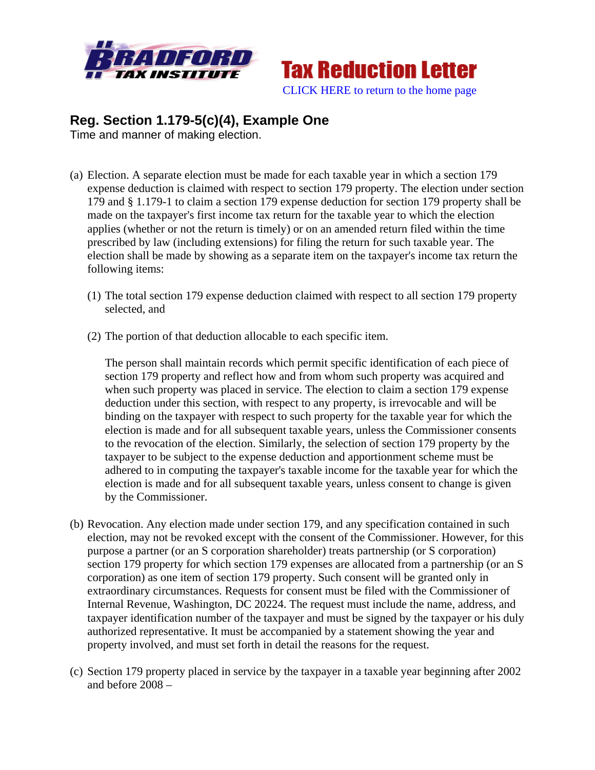



## **Reg. Section 1.179-5(c)(4), Example One**

Time and manner of making election.

- (a) Election. A separate election must be made for each taxable year in which a section 179 expense deduction is claimed with respect to section 179 property. The election under section 179 and § 1.179-1 to claim a section 179 expense deduction for section 179 property shall be made on the taxpayer's first income tax return for the taxable year to which the election applies (whether or not the return is timely) or on an amended return filed within the time prescribed by law (including extensions) for filing the return for such taxable year. The election shall be made by showing as a separate item on the taxpayer's income tax return the following items:
	- (1) The total section 179 expense deduction claimed with respect to all section 179 property selected, and
	- (2) The portion of that deduction allocable to each specific item.

The person shall maintain records which permit specific identification of each piece of section 179 property and reflect how and from whom such property was acquired and when such property was placed in service. The election to claim a section 179 expense deduction under this section, with respect to any property, is irrevocable and will be binding on the taxpayer with respect to such property for the taxable year for which the election is made and for all subsequent taxable years, unless the Commissioner consents to the revocation of the election. Similarly, the selection of section 179 property by the taxpayer to be subject to the expense deduction and apportionment scheme must be adhered to in computing the taxpayer's taxable income for the taxable year for which the election is made and for all subsequent taxable years, unless consent to change is given by the Commissioner.

- (b) Revocation. Any election made under section 179, and any specification contained in such election, may not be revoked except with the consent of the Commissioner. However, for this purpose a partner (or an S corporation shareholder) treats partnership (or S corporation) section 179 property for which section 179 expenses are allocated from a partnership (or an S corporation) as one item of section 179 property. Such consent will be granted only in extraordinary circumstances. Requests for consent must be filed with the Commissioner of Internal Revenue, Washington, DC 20224. The request must include the name, address, and taxpayer identification number of the taxpayer and must be signed by the taxpayer or his duly authorized representative. It must be accompanied by a statement showing the year and property involved, and must set forth in detail the reasons for the request.
- (c) Section 179 property placed in service by the taxpayer in a taxable year beginning after 2002 and before 2008 –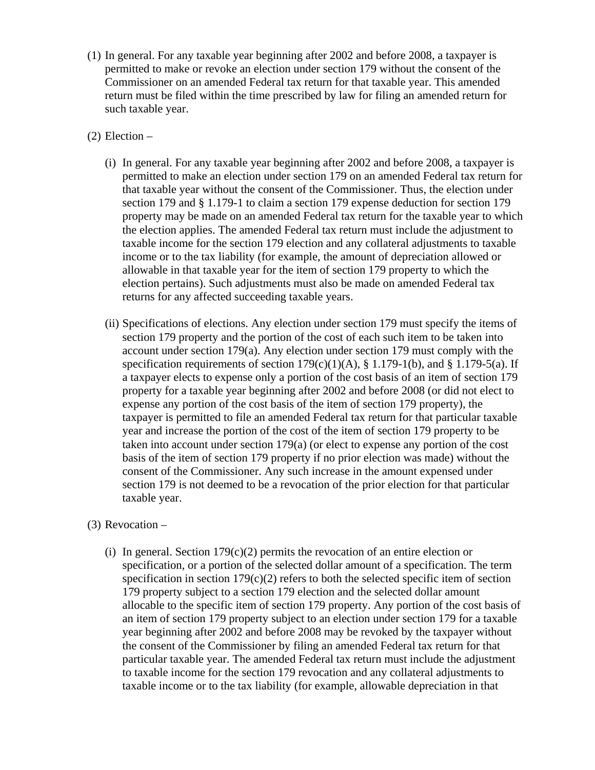- (1) In general. For any taxable year beginning after 2002 and before 2008, a taxpayer is permitted to make or revoke an election under section 179 without the consent of the Commissioner on an amended Federal tax return for that taxable year. This amended return must be filed within the time prescribed by law for filing an amended return for such taxable year.
- (2) Election
	- (i) In general. For any taxable year beginning after 2002 and before 2008, a taxpayer is permitted to make an election under section 179 on an amended Federal tax return for that taxable year without the consent of the Commissioner. Thus, the election under section 179 and § 1.179-1 to claim a section 179 expense deduction for section 179 property may be made on an amended Federal tax return for the taxable year to which the election applies. The amended Federal tax return must include the adjustment to taxable income for the section 179 election and any collateral adjustments to taxable income or to the tax liability (for example, the amount of depreciation allowed or allowable in that taxable year for the item of section 179 property to which the election pertains). Such adjustments must also be made on amended Federal tax returns for any affected succeeding taxable years.
	- (ii) Specifications of elections. Any election under section 179 must specify the items of section 179 property and the portion of the cost of each such item to be taken into account under section  $179(a)$ . Any election under section 179 must comply with the specification requirements of section  $179(c)(1)(A)$ , § 1.179-1(b), and § 1.179-5(a). If a taxpayer elects to expense only a portion of the cost basis of an item of section 179 property for a taxable year beginning after 2002 and before 2008 (or did not elect to expense any portion of the cost basis of the item of section 179 property), the taxpayer is permitted to file an amended Federal tax return for that particular taxable year and increase the portion of the cost of the item of section 179 property to be taken into account under section 179(a) (or elect to expense any portion of the cost basis of the item of section 179 property if no prior election was made) without the consent of the Commissioner. Any such increase in the amount expensed under section 179 is not deemed to be a revocation of the prior election for that particular taxable year.

## (3) Revocation –

(i) In general. Section  $179(c)(2)$  permits the revocation of an entire election or specification, or a portion of the selected dollar amount of a specification. The term specification in section  $179(c)(2)$  refers to both the selected specific item of section 179 property subject to a section 179 election and the selected dollar amount allocable to the specific item of section 179 property. Any portion of the cost basis of an item of section 179 property subject to an election under section 179 for a taxable year beginning after 2002 and before 2008 may be revoked by the taxpayer without the consent of the Commissioner by filing an amended Federal tax return for that particular taxable year. The amended Federal tax return must include the adjustment to taxable income for the section 179 revocation and any collateral adjustments to taxable income or to the tax liability (for example, allowable depreciation in that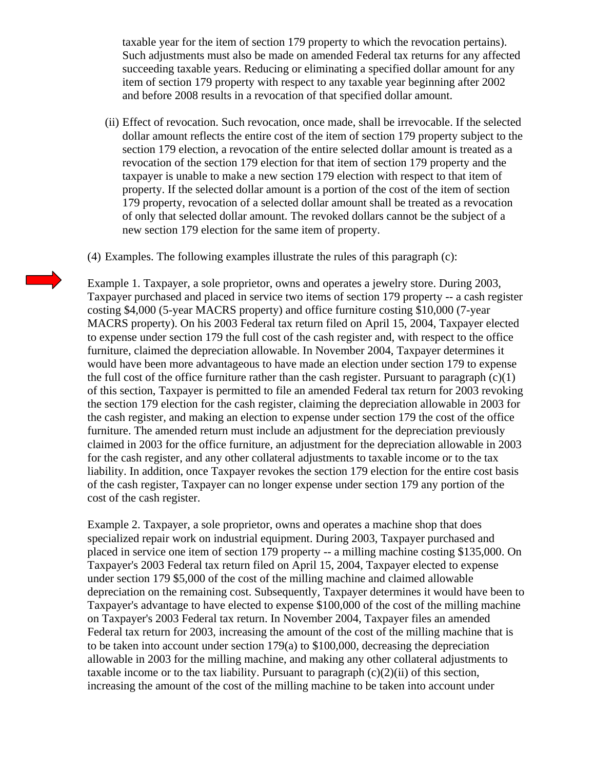taxable year for the item of section 179 property to which the revocation pertains). Such adjustments must also be made on amended Federal tax returns for any affected succeeding taxable years. Reducing or eliminating a specified dollar amount for any item of section 179 property with respect to any taxable year beginning after 2002 and before 2008 results in a revocation of that specified dollar amount.

(ii) Effect of revocation. Such revocation, once made, shall be irrevocable. If the selected dollar amount reflects the entire cost of the item of section 179 property subject to the section 179 election, a revocation of the entire selected dollar amount is treated as a revocation of the section 179 election for that item of section 179 property and the taxpayer is unable to make a new section 179 election with respect to that item of property. If the selected dollar amount is a portion of the cost of the item of section 179 property, revocation of a selected dollar amount shall be treated as a revocation of only that selected dollar amount. The revoked dollars cannot be the subject of a new section 179 election for the same item of property.

(4) Examples. The following examples illustrate the rules of this paragraph (c):

Example 1. Taxpayer, a sole proprietor, owns and operates a jewelry store. During 2003, Taxpayer purchased and placed in service two items of section 179 property -- a cash register costing \$4,000 (5-year MACRS property) and office furniture costing \$10,000 (7-year MACRS property). On his 2003 Federal tax return filed on April 15, 2004, Taxpayer elected to expense under section 179 the full cost of the cash register and, with respect to the office furniture, claimed the depreciation allowable. In November 2004, Taxpayer determines it would have been more advantageous to have made an election under section 179 to expense the full cost of the office furniture rather than the cash register. Pursuant to paragraph  $(c)(1)$ of this section, Taxpayer is permitted to file an amended Federal tax return for 2003 revoking the section 179 election for the cash register, claiming the depreciation allowable in 2003 for the cash register, and making an election to expense under section 179 the cost of the office furniture. The amended return must include an adjustment for the depreciation previously claimed in 2003 for the office furniture, an adjustment for the depreciation allowable in 2003 for the cash register, and any other collateral adjustments to taxable income or to the tax liability. In addition, once Taxpayer revokes the section 179 election for the entire cost basis of the cash register, Taxpayer can no longer expense under section 179 any portion of the cost of the cash register.

Example 2. Taxpayer, a sole proprietor, owns and operates a machine shop that does specialized repair work on industrial equipment. During 2003, Taxpayer purchased and placed in service one item of section 179 property -- a milling machine costing \$135,000. On Taxpayer's 2003 Federal tax return filed on April 15, 2004, Taxpayer elected to expense under section 179 \$5,000 of the cost of the milling machine and claimed allowable depreciation on the remaining cost. Subsequently, Taxpayer determines it would have been to Taxpayer's advantage to have elected to expense \$100,000 of the cost of the milling machine on Taxpayer's 2003 Federal tax return. In November 2004, Taxpayer files an amended Federal tax return for 2003, increasing the amount of the cost of the milling machine that is to be taken into account under section 179(a) to \$100,000, decreasing the depreciation allowable in 2003 for the milling machine, and making any other collateral adjustments to taxable income or to the tax liability. Pursuant to paragraph  $(c)(2)(ii)$  of this section, increasing the amount of the cost of the milling machine to be taken into account under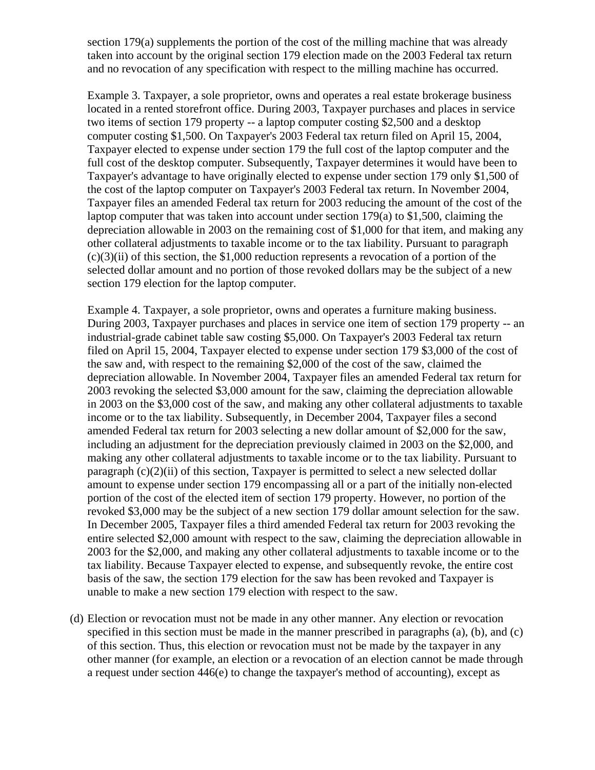section 179(a) supplements the portion of the cost of the milling machine that was already taken into account by the original section 179 election made on the 2003 Federal tax return and no revocation of any specification with respect to the milling machine has occurred.

Example 3. Taxpayer, a sole proprietor, owns and operates a real estate brokerage business located in a rented storefront office. During 2003, Taxpayer purchases and places in service two items of section 179 property -- a laptop computer costing \$2,500 and a desktop computer costing \$1,500. On Taxpayer's 2003 Federal tax return filed on April 15, 2004, Taxpayer elected to expense under section 179 the full cost of the laptop computer and the full cost of the desktop computer. Subsequently, Taxpayer determines it would have been to Taxpayer's advantage to have originally elected to expense under section 179 only \$1,500 of the cost of the laptop computer on Taxpayer's 2003 Federal tax return. In November 2004, Taxpayer files an amended Federal tax return for 2003 reducing the amount of the cost of the laptop computer that was taken into account under section 179(a) to \$1,500, claiming the depreciation allowable in 2003 on the remaining cost of \$1,000 for that item, and making any other collateral adjustments to taxable income or to the tax liability. Pursuant to paragraph  $(c)(3)(ii)$  of this section, the \$1,000 reduction represents a revocation of a portion of the selected dollar amount and no portion of those revoked dollars may be the subject of a new section 179 election for the laptop computer.

Example 4. Taxpayer, a sole proprietor, owns and operates a furniture making business. During 2003, Taxpayer purchases and places in service one item of section 179 property -- an industrial-grade cabinet table saw costing \$5,000. On Taxpayer's 2003 Federal tax return filed on April 15, 2004, Taxpayer elected to expense under section 179 \$3,000 of the cost of the saw and, with respect to the remaining \$2,000 of the cost of the saw, claimed the depreciation allowable. In November 2004, Taxpayer files an amended Federal tax return for 2003 revoking the selected \$3,000 amount for the saw, claiming the depreciation allowable in 2003 on the \$3,000 cost of the saw, and making any other collateral adjustments to taxable income or to the tax liability. Subsequently, in December 2004, Taxpayer files a second amended Federal tax return for 2003 selecting a new dollar amount of \$2,000 for the saw, including an adjustment for the depreciation previously claimed in 2003 on the \$2,000, and making any other collateral adjustments to taxable income or to the tax liability. Pursuant to paragraph  $(c)(2)(ii)$  of this section, Taxpayer is permitted to select a new selected dollar amount to expense under section 179 encompassing all or a part of the initially non-elected portion of the cost of the elected item of section 179 property. However, no portion of the revoked \$3,000 may be the subject of a new section 179 dollar amount selection for the saw. In December 2005, Taxpayer files a third amended Federal tax return for 2003 revoking the entire selected \$2,000 amount with respect to the saw, claiming the depreciation allowable in 2003 for the \$2,000, and making any other collateral adjustments to taxable income or to the tax liability. Because Taxpayer elected to expense, and subsequently revoke, the entire cost basis of the saw, the section 179 election for the saw has been revoked and Taxpayer is unable to make a new section 179 election with respect to the saw.

(d) Election or revocation must not be made in any other manner. Any election or revocation specified in this section must be made in the manner prescribed in paragraphs (a), (b), and (c) of this section. Thus, this election or revocation must not be made by the taxpayer in any other manner (for example, an election or a revocation of an election cannot be made through a request under section 446(e) to change the taxpayer's method of accounting), except as